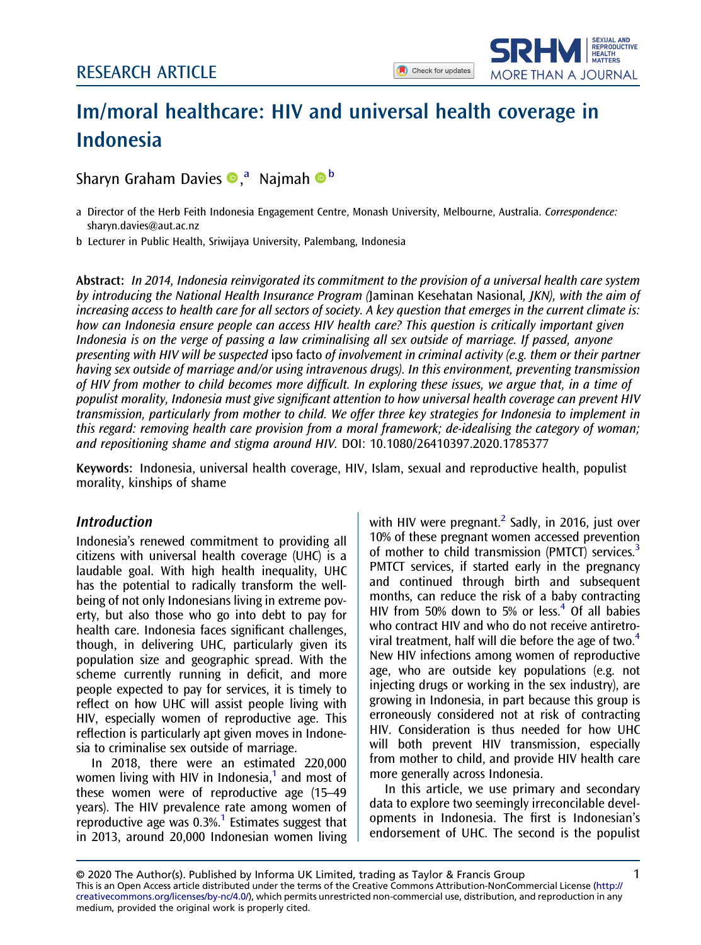

# Im/moral healthcare: HIV and universal health coverage in Indonesia

Sharyn Graham Davies D,<sup>a</sup> Najmah D<sup>b</sup>

b Lecturer in Public Health, Sriwijaya University, Palembang, Indonesia

Abstract: In 2014, Indonesia reinvigorated its commitment to the provision of a universal health care system by introducing the National Health Insurance Program (Jaminan Kesehatan Nasional, JKN), with the aim of increasing access to health care for all sectors of society. A key question that emerges in the current climate is: how can Indonesia ensure people can access HIV health care? This question is critically important given Indonesia is on the verge of passing a law criminalising all sex outside of marriage. If passed, anyone presenting with HIV will be suspected ipso facto of involvement in criminal activity (e.g. them or their partner having sex outside of marriage and/or using intravenous drugs). In this environment, preventing transmission of HIV from mother to child becomes more difficult. In exploring these issues, we argue that, in a time of populist morality, Indonesia must give significant attention to how universal health coverage can prevent HIV transmission, particularly from mother to child. We offer three key strategies for Indonesia to implement in this regard: removing health care provision from a moral framework; de-idealising the category of woman; and repositioning shame and stigma around HIV. DOI: 10.1080/26410397.2020.1785377

Keywords: Indonesia, universal health coverage, HIV, Islam, sexual and reproductive health, populist morality, kinships of shame

#### Introduction

Indonesia's renewed commitment to providing all citizens with universal health coverage (UHC) is a laudable goal. With high health inequality, UHC has the potential to radically transform the wellbeing of not only Indonesians living in extreme poverty, but also those who go into debt to pay for health care. Indonesia faces significant challenges, though, in delivering UHC, particularly given its population size and geographic spread. With the scheme currently running in deficit, and more people expected to pay for services, it is timely to reflect on how UHC will assist people living with HIV, especially women of reproductive age. This reflection is particularly apt given moves in Indonesia to criminalise sex outside of marriage.

In 2018, there were an estimated 220,000 women living with HIV in Indonesia, $1$  and most of these women were of reproductive age (15–49 years). The HIV prevalence rate among women of reproductive age was  $0.3\%$ <sup>1</sup> Estimates suggest that in 2013, around 20,000 Indonesian women living with HIV were pregnant.<sup>2</sup> Sadly, in 2016, just over 10% of these pregnant women accessed prevention of mother to child transmission (PMTCT) services.<sup>3</sup> PMTCT services, if started early in the pregnancy and continued through birth and subsequent months, can reduce the risk of a baby contracting HIV from 50% down to 5% or less.<sup>4</sup> Of all babies who contract HIV and who do not receive antiretroviral treatment, half will die before the age of two.<sup>4</sup> New HIV infections among women of reproductive age, who are outside key populations (e.g. not injecting drugs or working in the sex industry), are growing in Indonesia, in part because this group is erroneously considered not at risk of contracting HIV. Consideration is thus needed for how UHC will both prevent HIV transmission, especially from mother to child, and provide HIV health care more generally across Indonesia.

In this article, we use primary and secondary data to explore two seemingly irreconcilable developments in Indonesia. The first is Indonesian's endorsement of UHC. The second is the populist

a Director of the Herb Feith Indonesia Engagement Centre, Monash University, Melbourne, Australia. Correspondence: sharyn.davies@aut.ac.nz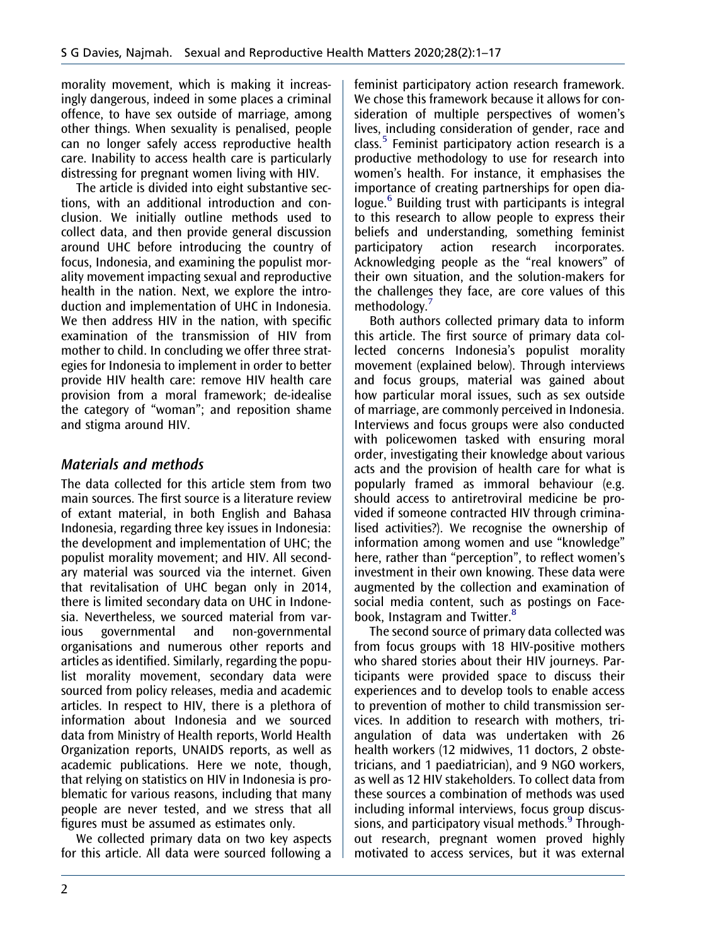morality movement, which is making it increasingly dangerous, indeed in some places a criminal offence, to have sex outside of marriage, among other things. When sexuality is penalised, people can no longer safely access reproductive health care. Inability to access health care is particularly distressing for pregnant women living with HIV.

The article is divided into eight substantive sections, with an additional introduction and conclusion. We initially outline methods used to collect data, and then provide general discussion around UHC before introducing the country of focus, Indonesia, and examining the populist morality movement impacting sexual and reproductive health in the nation. Next, we explore the introduction and implementation of UHC in Indonesia. We then address HIV in the nation, with specific examination of the transmission of HIV from mother to child. In concluding we offer three strategies for Indonesia to implement in order to better provide HIV health care: remove HIV health care provision from a moral framework; de-idealise the category of "woman"; and reposition shame and stigma around HIV.

# Materials and methods

The data collected for this article stem from two main sources. The first source is a literature review of extant material, in both English and Bahasa Indonesia, regarding three key issues in Indonesia: the development and implementation of UHC; the populist morality movement; and HIV. All secondary material was sourced via the internet. Given that revitalisation of UHC began only in 2014, there is limited secondary data on UHC in Indonesia. Nevertheless, we sourced material from various governmental and non-governmental organisations and numerous other reports and articles as identified. Similarly, regarding the populist morality movement, secondary data were sourced from policy releases, media and academic articles. In respect to HIV, there is a plethora of information about Indonesia and we sourced data from Ministry of Health reports, World Health Organization reports, UNAIDS reports, as well as academic publications. Here we note, though, that relying on statistics on HIV in Indonesia is problematic for various reasons, including that many people are never tested, and we stress that all figures must be assumed as estimates only.

We collected primary data on two key aspects for this article. All data were sourced following a feminist participatory action research framework. We chose this framework because it allows for consideration of multiple perspectives of women's lives, including consideration of gender, race and class.<sup>5</sup> Feminist participatory action research is a productive methodology to use for research into women's health. For instance, it emphasises the importance of creating partnerships for open dialogue.<sup>6</sup> Building trust with participants is integral to this research to allow people to express their beliefs and understanding, something feminist participatory action research incorporates. Acknowledging people as the "real knowers" of their own situation, and the solution-makers for the challenges they face, are core values of this methodology.<sup>7</sup>

Both authors collected primary data to inform this article. The first source of primary data collected concerns Indonesia's populist morality movement (explained below). Through interviews and focus groups, material was gained about how particular moral issues, such as sex outside of marriage, are commonly perceived in Indonesia. Interviews and focus groups were also conducted with policewomen tasked with ensuring moral order, investigating their knowledge about various acts and the provision of health care for what is popularly framed as immoral behaviour (e.g. should access to antiretroviral medicine be provided if someone contracted HIV through criminalised activities?). We recognise the ownership of information among women and use "knowledge" here, rather than "perception", to reflect women's investment in their own knowing. These data were augmented by the collection and examination of social media content, such as postings on Facebook, Instagram and Twitter.<sup>8</sup>

The second source of primary data collected was from focus groups with 18 HIV-positive mothers who shared stories about their HIV journeys. Participants were provided space to discuss their experiences and to develop tools to enable access to prevention of mother to child transmission services. In addition to research with mothers, triangulation of data was undertaken with 26 health workers (12 midwives, 11 doctors, 2 obstetricians, and 1 paediatrician), and 9 NGO workers, as well as 12 HIV stakeholders. To collect data from these sources a combination of methods was used including informal interviews, focus group discussions, and participatory visual methods.<sup>9</sup> Throughout research, pregnant women proved highly motivated to access services, but it was external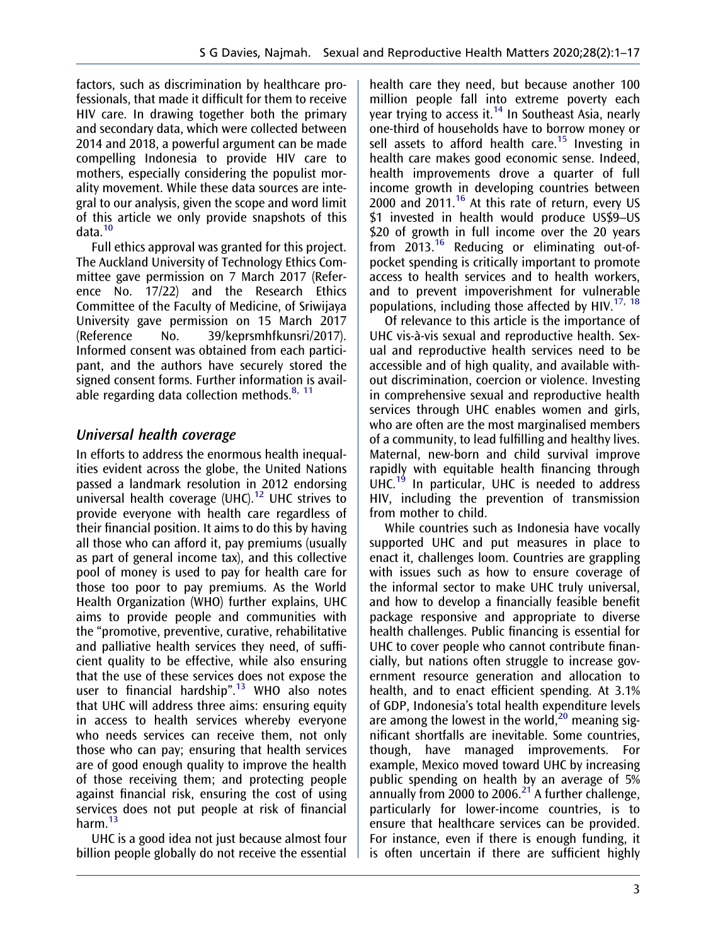factors, such as discrimination by healthcare professionals, that made it difficult for them to receive HIV care. In drawing together both the primary and secondary data, which were collected between 2014 and 2018, a powerful argument can be made compelling Indonesia to provide HIV care to mothers, especially considering the populist morality movement. While these data sources are integral to our analysis, given the scope and word limit of this article we only provide snapshots of this  $data.<sup>10</sup>$ 

Full ethics approval was granted for this project. The Auckland University of Technology Ethics Committee gave permission on 7 March 2017 (Reference No. 17/22) and the Research Ethics Committee of the Faculty of Medicine, of Sriwijaya University gave permission on 15 March 2017 (Reference No. 39/keprsmhfkunsri/2017). Informed consent was obtained from each participant, and the authors have securely stored the signed consent forms. Further information is available regarding data collection methods.<sup>8, 11</sup>

# Universal health coverage

In efforts to address the enormous health inequalities evident across the globe, the United Nations passed a landmark resolution in 2012 endorsing universal health coverage  $(UHC)$ .<sup>12</sup> UHC strives to provide everyone with health care regardless of their financial position. It aims to do this by having all those who can afford it, pay premiums (usually as part of general income tax), and this collective pool of money is used to pay for health care for those too poor to pay premiums. As the World Health Organization (WHO) further explains, UHC aims to provide people and communities with the "promotive, preventive, curative, rehabilitative and palliative health services they need, of sufficient quality to be effective, while also ensuring that the use of these services does not expose the user to financial hardship".<sup>13</sup> WHO also notes that UHC will address three aims: ensuring equity in access to health services whereby everyone who needs services can receive them, not only those who can pay; ensuring that health services are of good enough quality to improve the health of those receiving them; and protecting people against financial risk, ensuring the cost of using services does not put people at risk of financial harm. $^{13}$ 

UHC is a good idea not just because almost four billion people globally do not receive the essential health care they need, but because another 100 million people fall into extreme poverty each year trying to access it.<sup>14</sup> In Southeast Asia, nearly one-third of households have to borrow money or sell assets to afford health care.<sup>15</sup> Investing in health care makes good economic sense. Indeed, health improvements drove a quarter of full income growth in developing countries between 2000 and 2011.<sup>16</sup> At this rate of return, every US \$1 invested in health would produce US\$9–US \$20 of growth in full income over the 20 years from  $2013<sup>16</sup>$  Reducing or eliminating out-ofpocket spending is critically important to promote access to health services and to health workers, and to prevent impoverishment for vulnerable populations, including those affected by HIV.<sup>17, 18</sup>

Of relevance to this article is the importance of UHC vis-à-vis sexual and reproductive health. Sexual and reproductive health services need to be accessible and of high quality, and available without discrimination, coercion or violence. Investing in comprehensive sexual and reproductive health services through UHC enables women and girls, who are often are the most marginalised members of a community, to lead fulfilling and healthy lives. Maternal, new-born and child survival improve rapidly with equitable health financing through  $UHC.<sup>19</sup>$  In particular, UHC is needed to address HIV, including the prevention of transmission from mother to child.

While countries such as Indonesia have vocally supported UHC and put measures in place to enact it, challenges loom. Countries are grappling with issues such as how to ensure coverage of the informal sector to make UHC truly universal, and how to develop a financially feasible benefit package responsive and appropriate to diverse health challenges. Public financing is essential for UHC to cover people who cannot contribute financially, but nations often struggle to increase government resource generation and allocation to health, and to enact efficient spending. At 3.1% of GDP, Indonesia's total health expenditure levels are among the lowest in the world, $20$  meaning significant shortfalls are inevitable. Some countries, though, have managed improvements. For example, Mexico moved toward UHC by increasing public spending on health by an average of 5% annually from 2000 to 2006.<sup>21'</sup> A further challenge, particularly for lower-income countries, is to ensure that healthcare services can be provided. For instance, even if there is enough funding, it is often uncertain if there are sufficient highly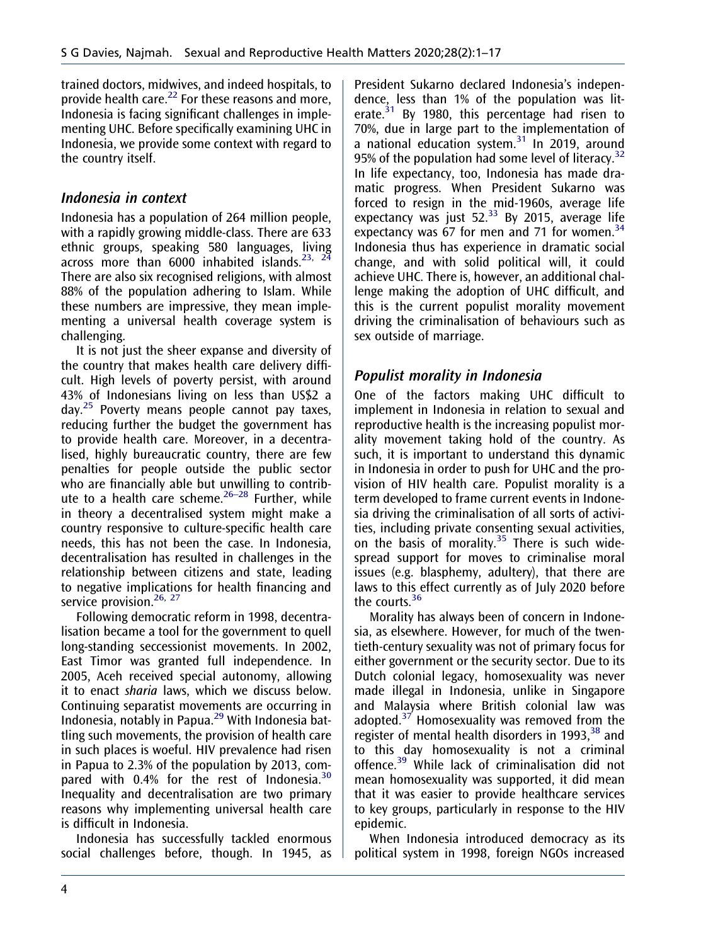trained doctors, midwives, and indeed hospitals, to provide health care. $^{22}$  For these reasons and more, Indonesia is facing significant challenges in implementing UHC. Before specifically examining UHC in Indonesia, we provide some context with regard to the country itself.

# Indonesia in context

Indonesia has a population of 264 million people, with a rapidly growing middle-class. There are 633 ethnic groups, speaking 580 languages, living across more than 6000 inhabited islands.<sup>23, 24</sup> There are also six recognised religions, with almost 88% of the population adhering to Islam. While these numbers are impressive, they mean implementing a universal health coverage system is challenging.

It is not just the sheer expanse and diversity of the country that makes health care delivery difficult. High levels of poverty persist, with around 43% of Indonesians living on less than US\$2 a day.<sup>25</sup> Poverty means people cannot pay taxes, reducing further the budget the government has to provide health care. Moreover, in a decentralised, highly bureaucratic country, there are few penalties for people outside the public sector who are financially able but unwilling to contribute to a health care scheme. $26-28$  Further, while in theory a decentralised system might make a country responsive to culture-specific health care needs, this has not been the case. In Indonesia, decentralisation has resulted in challenges in the relationship between citizens and state, leading to negative implications for health financing and service provision.<sup>26, 27</sup>

Following democratic reform in 1998, decentralisation became a tool for the government to quell long-standing seccessionist movements. In 2002, East Timor was granted full independence. In 2005, Aceh received special autonomy, allowing it to enact sharia laws, which we discuss below. Continuing separatist movements are occurring in Indonesia, notably in Papua. $^{29}$  With Indonesia battling such movements, the provision of health care in such places is woeful. HIV prevalence had risen in Papua to 2.3% of the population by 2013, compared with 0.4% for the rest of Indonesia. $30$ Inequality and decentralisation are two primary reasons why implementing universal health care is difficult in Indonesia.

Indonesia has successfully tackled enormous social challenges before, though. In 1945, as

President Sukarno declared Indonesia's independence, less than 1% of the population was literate. $31$  By 1980, this percentage had risen to 70%, due in large part to the implementation of a national education system. $31$  In 2019, around 95% of the population had some level of literacy.<sup>32</sup> In life expectancy, too, Indonesia has made dramatic progress. When President Sukarno was forced to resign in the mid-1960s, average life expectancy was just  $52<sup>33</sup>$  By 2015, average life expectancy was 67 for men and 71 for women.<sup>34</sup> Indonesia thus has experience in dramatic social change, and with solid political will, it could achieve UHC. There is, however, an additional challenge making the adoption of UHC difficult, and this is the current populist morality movement driving the criminalisation of behaviours such as sex outside of marriage.

# Populist morality in Indonesia

One of the factors making UHC difficult to implement in Indonesia in relation to sexual and reproductive health is the increasing populist morality movement taking hold of the country. As such, it is important to understand this dynamic in Indonesia in order to push for UHC and the provision of HIV health care. Populist morality is a term developed to frame current events in Indonesia driving the criminalisation of all sorts of activities, including private consenting sexual activities, on the basis of morality.<sup>35</sup> There is such widespread support for moves to criminalise moral issues (e.g. blasphemy, adultery), that there are laws to this effect currently as of July 2020 before the courts 36

Morality has always been of concern in Indonesia, as elsewhere. However, for much of the twentieth-century sexuality was not of primary focus for either government or the security sector. Due to its Dutch colonial legacy, homosexuality was never made illegal in Indonesia, unlike in Singapore and Malaysia where British colonial law was adopted. $37$  Homosexuality was removed from the register of mental health disorders in 1993, $^{38}$  and to this day homosexuality is not a criminal offence.<sup>39</sup> While lack of criminalisation did not mean homosexuality was supported, it did mean that it was easier to provide healthcare services to key groups, particularly in response to the HIV epidemic.

When Indonesia introduced democracy as its political system in 1998, foreign NGOs increased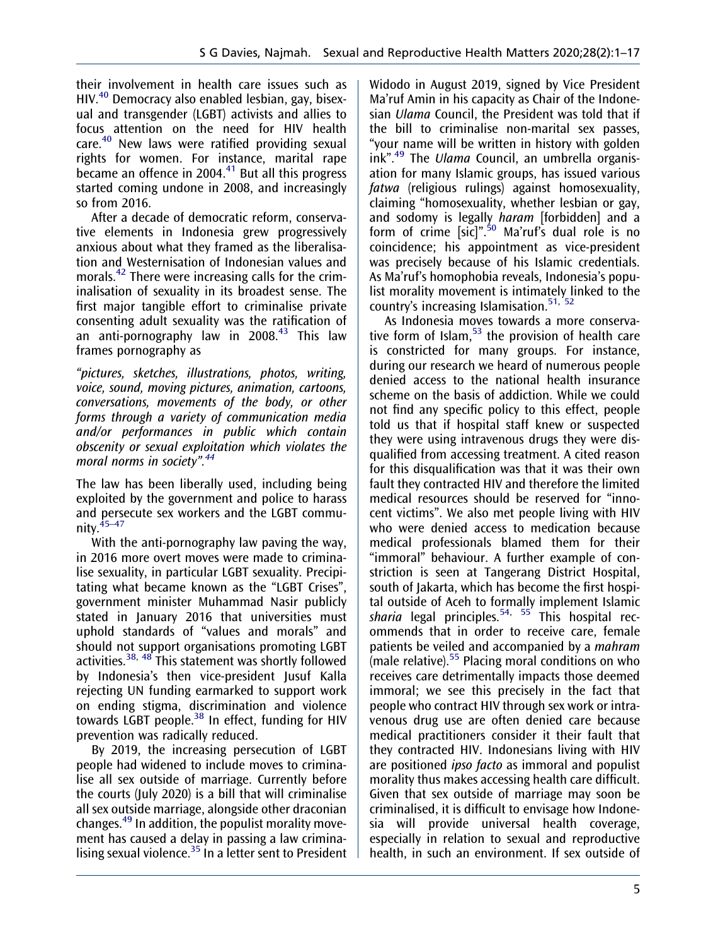their involvement in health care issues such as HIV.<sup>40</sup> Democracy also enabled lesbian, gay, bisexual and transgender (LGBT) activists and allies to focus attention on the need for HIV health  $care<sup>40</sup>$  New laws were ratified providing sexual rights for women. For instance, marital rape became an offence in  $2004.<sup>41</sup>$  But all this progress started coming undone in 2008, and increasingly so from 2016.

After a decade of democratic reform, conservative elements in Indonesia grew progressively anxious about what they framed as the liberalisation and Westernisation of Indonesian values and morals.<sup>42</sup> There were increasing calls for the criminalisation of sexuality in its broadest sense. The first major tangible effort to criminalise private consenting adult sexuality was the ratification of an anti-pornography law in  $2008<sup>43</sup>$  This law frames pornography as

"pictures, sketches, illustrations, photos, writing, voice, sound, moving pictures, animation, cartoons, conversations, movements of the body, or other forms through a variety of communication media and/or performances in public which contain obscenity or sexual exploitation which violates the moral norms in society".<sup>44</sup>

The law has been liberally used, including being exploited by the government and police to harass and persecute sex workers and the LGBT community. $45-47$ 

With the anti-pornography law paving the way, in 2016 more overt moves were made to criminalise sexuality, in particular LGBT sexuality. Precipitating what became known as the "LGBT Crises", government minister Muhammad Nasir publicly stated in January 2016 that universities must uphold standards of "values and morals" and should not support organisations promoting LGBT activities.38, <sup>48</sup> This statement was shortly followed by Indonesia's then vice-president Jusuf Kalla rejecting UN funding earmarked to support work on ending stigma, discrimination and violence towards LGBT people.<sup>38</sup> In effect, funding for HIV prevention was radically reduced.

By 2019, the increasing persecution of LGBT people had widened to include moves to criminalise all sex outside of marriage. Currently before the courts (July 2020) is a bill that will criminalise all sex outside marriage, alongside other draconian changes.<sup>49</sup> In addition, the populist morality movement has caused a delay in passing a law criminalising sexual violence. $35$  In a letter sent to President Widodo in August 2019, signed by Vice President Ma'ruf Amin in his capacity as Chair of the Indonesian Ulama Council, the President was told that if the bill to criminalise non-marital sex passes, "your name will be written in history with golden ink".<sup>49</sup> The *Ulama* Council, an umbrella organisation for many Islamic groups, has issued various fatwa (religious rulings) against homosexuality, claiming "homosexuality, whether lesbian or gay, and sodomy is legally haram [forbidden] and a form of crime [sic]".<sup>50</sup> Ma'ruf's dual role is no coincidence; his appointment as vice-president was precisely because of his Islamic credentials. As Ma'ruf's homophobia reveals, Indonesia's populist morality movement is intimately linked to the country's increasing Islamisation.<sup>51,52</sup>

As Indonesia moves towards a more conservative form of Islam, $53$  the provision of health care is constricted for many groups. For instance, during our research we heard of numerous people denied access to the national health insurance scheme on the basis of addiction. While we could not find any specific policy to this effect, people told us that if hospital staff knew or suspected they were using intravenous drugs they were disqualified from accessing treatment. A cited reason for this disqualification was that it was their own fault they contracted HIV and therefore the limited medical resources should be reserved for "innocent victims". We also met people living with HIV who were denied access to medication because medical professionals blamed them for their "immoral" behaviour. A further example of constriction is seen at Tangerang District Hospital, south of Jakarta, which has become the first hospital outside of Aceh to formally implement Islamic sharia legal principles.<sup>54, 55</sup> This hospital recommends that in order to receive care, female patients be veiled and accompanied by a mahram (male relative).55 Placing moral conditions on who receives care detrimentally impacts those deemed immoral; we see this precisely in the fact that people who contract HIV through sex work or intravenous drug use are often denied care because medical practitioners consider it their fault that they contracted HIV. Indonesians living with HIV are positioned *ipso facto* as immoral and populist morality thus makes accessing health care difficult. Given that sex outside of marriage may soon be criminalised, it is difficult to envisage how Indonesia will provide universal health coverage, especially in relation to sexual and reproductive health, in such an environment. If sex outside of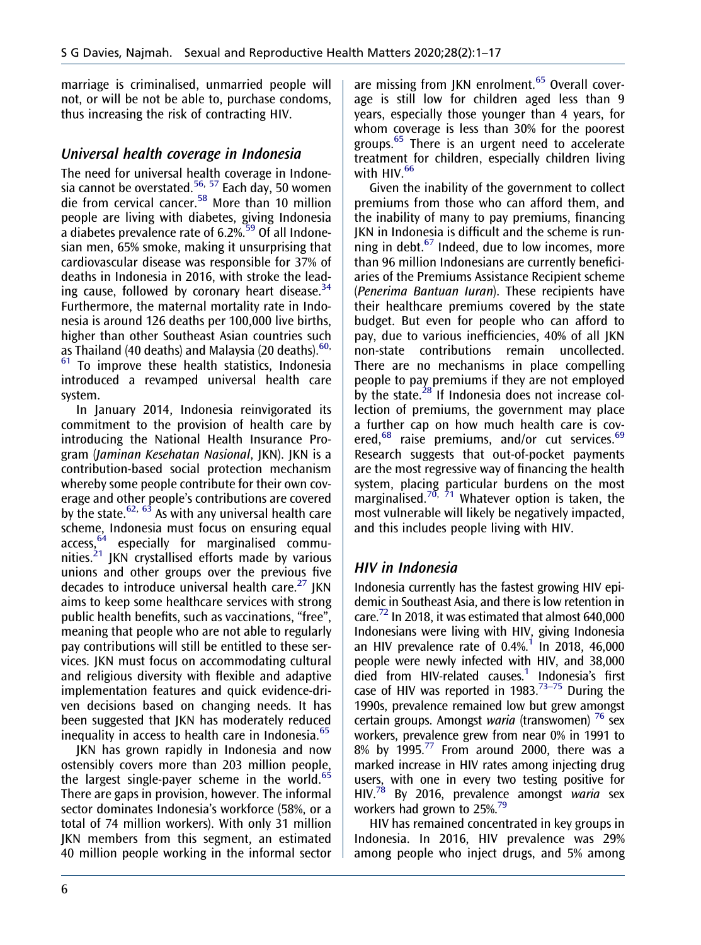marriage is criminalised, unmarried people will not, or will be not be able to, purchase condoms, thus increasing the risk of contracting HIV.

## Universal health coverage in Indonesia

The need for universal health coverage in Indonesia cannot be overstated.<sup>56, 57</sup> Each day, 50 women die from cervical cancer.<sup>58</sup> More than 10 million people are living with diabetes, giving Indonesia a diabetes prevalence rate of  $6.2\%$ <sup>59</sup> Of all Indonesian men, 65% smoke, making it unsurprising that cardiovascular disease was responsible for 37% of deaths in Indonesia in 2016, with stroke the leading cause, followed by coronary heart disease. $34$ Furthermore, the maternal mortality rate in Indonesia is around 126 deaths per 100,000 live births, higher than other Southeast Asian countries such as Thailand (40 deaths) and Malaysia (20 deaths). $60$ ,  $61$  To improve these health statistics, Indonesia introduced a revamped universal health care system.

In January 2014, Indonesia reinvigorated its commitment to the provision of health care by introducing the National Health Insurance Program (Jaminan Kesehatan Nasional, JKN). JKN is a contribution-based social protection mechanism whereby some people contribute for their own coverage and other people's contributions are covered by the state.<sup>62, 63</sup> As with any universal health care scheme, Indonesia must focus on ensuring equal  $\arccos$ <sup>64</sup> especially for marginalised communities. $21$  JKN crystallised efforts made by various unions and other groups over the previous five decades to introduce universal health care. $27$  JKN aims to keep some healthcare services with strong public health benefits, such as vaccinations, "free", meaning that people who are not able to regularly pay contributions will still be entitled to these services. JKN must focus on accommodating cultural and religious diversity with flexible and adaptive implementation features and quick evidence-driven decisions based on changing needs. It has been suggested that JKN has moderately reduced inequality in access to health care in Indonesia. $^{65}$ 

JKN has grown rapidly in Indonesia and now ostensibly covers more than 203 million people, the largest single-payer scheme in the world.<sup>65</sup> There are gaps in provision, however. The informal sector dominates Indonesia's workforce (58%, or a total of 74 million workers). With only 31 million JKN members from this segment, an estimated 40 million people working in the informal sector are missing from IKN enrolment.<sup>65</sup> Overall coverage is still low for children aged less than 9 years, especially those younger than 4 years, for whom coverage is less than 30% for the poorest groups.<sup>65</sup> There is an urgent need to accelerate treatment for children, especially children living with  $HIV$ <sup>66</sup>

Given the inability of the government to collect premiums from those who can afford them, and the inability of many to pay premiums, financing JKN in Indonesia is difficult and the scheme is running in debt. $67$  Indeed, due to low incomes, more than 96 million Indonesians are currently beneficiaries of the Premiums Assistance Recipient scheme (Penerima Bantuan Iuran). These recipients have their healthcare premiums covered by the state budget. But even for people who can afford to pay, due to various inefficiencies, 40% of all JKN non-state contributions remain uncollected. There are no mechanisms in place compelling people to pay premiums if they are not employed by the state.<sup>28</sup> If Indonesia does not increase collection of premiums, the government may place a further cap on how much health care is covered,<sup>68</sup> raise premiums, and/or cut services.<sup>69</sup> Research suggests that out-of-pocket payments are the most regressive way of financing the health system, placing particular burdens on the most marginalised.<sup>70, 71</sup> Whatever option is taken, the most vulnerable will likely be negatively impacted, and this includes people living with HIV.

# HIV in Indonesia

Indonesia currently has the fastest growing HIV epidemic in Southeast Asia, and there is low retention in care.<sup>72</sup> In 2018, it was estimated that almost  $640,000$ Indonesians were living with HIV, giving Indonesia an HIV prevalence rate of  $0.4\frac{1}{1}$  In 2018, 46,000 people were newly infected with HIV, and 38,000 died from HIV-related causes.<sup>1</sup> Indonesia's first case of HIV was reported in 1983.<sup>73–75</sup> During the 1990s, prevalence remained low but grew amongst certain groups. Amongst *waria* (transwomen)  $^{76}$  sex workers, prevalence grew from near 0% in 1991 to  $8\%$  by 1995. $^{77}$  From around 2000, there was a marked increase in HIV rates among injecting drug users, with one in every two testing positive for HIV.<sup>78</sup> By 2016, prevalence amongst waria sex workers had grown to 25%.<sup>79</sup>

HIV has remained concentrated in key groups in Indonesia. In 2016, HIV prevalence was 29% among people who inject drugs, and 5% among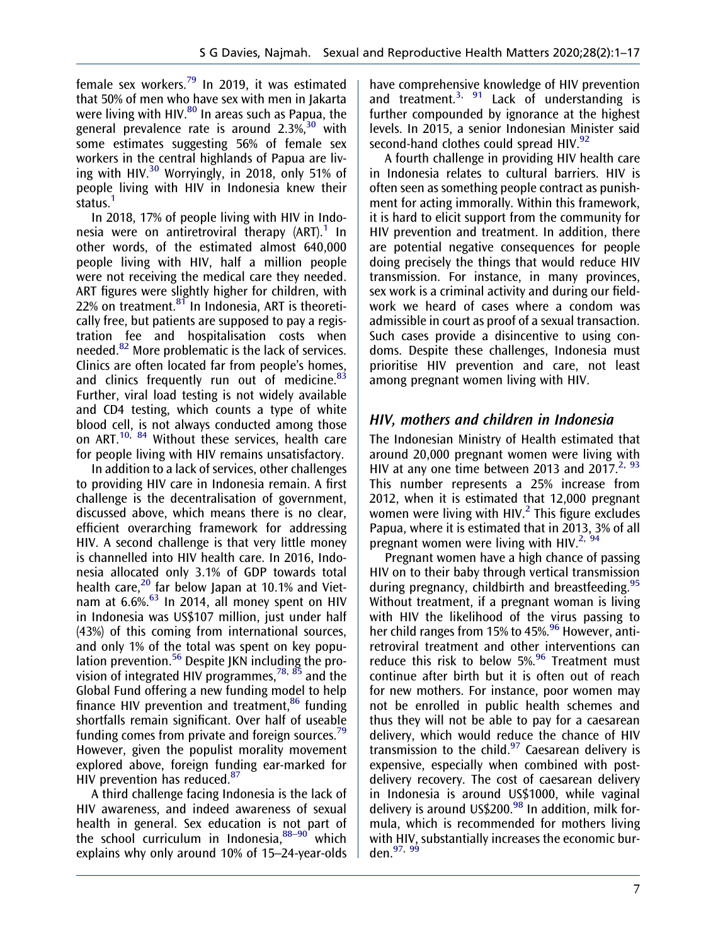female sex workers. $^{79}$  In 2019, it was estimated that 50% of men who have sex with men in Jakarta were living with HIV.<sup>80</sup> In areas such as Papua, the general prevalence rate is around  $2.3\%$   $30$  with some estimates suggesting 56% of female sex workers in the central highlands of Papua are living with HIV.<sup>30</sup> Worryingly, in 2018, only 51% of people living with HIV in Indonesia knew their status.<sup>1</sup>

In 2018, 17% of people living with HIV in Indonesia were on antiretroviral therapy  $(ART).$ <sup>1</sup> In other words, of the estimated almost 640,000 people living with HIV, half a million people were not receiving the medical care they needed. ART figures were slightly higher for children, with 22% on treatment. $81$  In Indonesia, ART is theoretically free, but patients are supposed to pay a registration fee and hospitalisation costs when needed.<sup>82</sup> More problematic is the lack of services. Clinics are often located far from people's homes, and clinics frequently run out of medicine.<sup>83</sup> Further, viral load testing is not widely available and CD4 testing, which counts a type of white blood cell, is not always conducted among those on ART.<sup>10, 84</sup> Without these services, health care for people living with HIV remains unsatisfactory.

In addition to a lack of services, other challenges to providing HIV care in Indonesia remain. A first challenge is the decentralisation of government, discussed above, which means there is no clear, efficient overarching framework for addressing HIV. A second challenge is that very little money is channelled into HIV health care. In 2016, Indonesia allocated only 3.1% of GDP towards total health care, $^{20}$  far below Japan at 10.1% and Vietnam at  $6.6\%$ <sup>63</sup> In 2014, all money spent on HIV in Indonesia was US\$107 million, just under half (43%) of this coming from international sources, and only 1% of the total was spent on key population prevention.<sup>56</sup> Despite JKN including the provision of integrated HIV programmes,  $78, 85$  and the Global Fund offering a new funding model to help finance HIV prevention and treatment,<sup>86</sup> funding shortfalls remain significant. Over half of useable funding comes from private and foreign sources.<sup>79</sup> However, given the populist morality movement explored above, foreign funding ear-marked for HIV prevention has reduced.<sup>87</sup>

A third challenge facing Indonesia is the lack of HIV awareness, and indeed awareness of sexual health in general. Sex education is not part of the school curriculum in Indonesia,  $88-90$  which explains why only around 10% of 15–24-year-olds have comprehensive knowledge of HIV prevention and treatment.<sup>3, 91</sup> Lack of understanding is further compounded by ignorance at the highest levels. In 2015, a senior Indonesian Minister said second-hand clothes could spread HIV.<sup>92</sup>

A fourth challenge in providing HIV health care in Indonesia relates to cultural barriers. HIV is often seen as something people contract as punishment for acting immorally. Within this framework, it is hard to elicit support from the community for HIV prevention and treatment. In addition, there are potential negative consequences for people doing precisely the things that would reduce HIV transmission. For instance, in many provinces, sex work is a criminal activity and during our fieldwork we heard of cases where a condom was admissible in court as proof of a sexual transaction. Such cases provide a disincentive to using condoms. Despite these challenges, Indonesia must prioritise HIV prevention and care, not least among pregnant women living with HIV.

# HIV, mothers and children in Indonesia

The Indonesian Ministry of Health estimated that around 20,000 pregnant women were living with HIV at any one time between 2013 and  $2017^{2,93}$ This number represents a 25% increase from 2012, when it is estimated that 12,000 pregnant women were living with HIV.<sup>2</sup> This figure excludes Papua, where it is estimated that in 2013, 3% of all pregnant women were living with HIV.<sup>2, 94</sup>

Pregnant women have a high chance of passing HIV on to their baby through vertical transmission during pregnancy, childbirth and breastfeeding.<sup>95</sup> Without treatment, if a pregnant woman is living with HIV the likelihood of the virus passing to her child ranges from 15% to 45%.<sup>96</sup> However, antiretroviral treatment and other interventions can reduce this risk to below  $5\%$ . Treatment must continue after birth but it is often out of reach for new mothers. For instance, poor women may not be enrolled in public health schemes and thus they will not be able to pay for a caesarean delivery, which would reduce the chance of HIV transmission to the child. $97$  Caesarean delivery is expensive, especially when combined with postdelivery recovery. The cost of caesarean delivery in Indonesia is around US\$1000, while vaginal delivery is around US\$200. $98$  In addition, milk formula, which is recommended for mothers living with HIV, substantially increases the economic burden.<sup>97, 99</sup>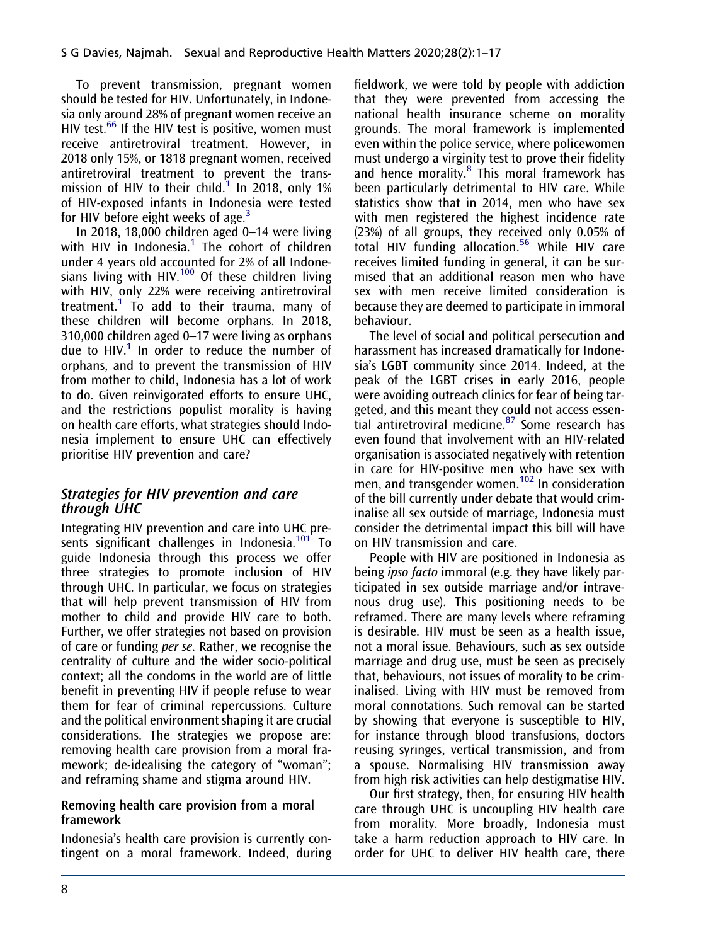To prevent transmission, pregnant women should be tested for HIV. Unfortunately, in Indonesia only around 28% of pregnant women receive an HIV test.<sup>66</sup> If the HIV test is positive, women must receive antiretroviral treatment. However, in 2018 only 15%, or 1818 pregnant women, received antiretroviral treatment to prevent the transmission of HIV to their child.<sup>1</sup> In 2018, only 1% of HIV-exposed infants in Indonesia were tested for HIV before eight weeks of age. $3$ 

In 2018, 18,000 children aged 0–14 were living with HIV in Indonesia.<sup>1</sup> The cohort of children under 4 years old accounted for 2% of all Indonesians living with HIV.<sup>100</sup> Of these children living with HIV, only 22% were receiving antiretroviral treatment.<sup>1</sup> To add to their trauma, many of these children will become orphans. In 2018, 310,000 children aged 0–17 were living as orphans due to  $HIV.<sup>1</sup>$  In order to reduce the number of orphans, and to prevent the transmission of HIV from mother to child, Indonesia has a lot of work to do. Given reinvigorated efforts to ensure UHC, and the restrictions populist morality is having on health care efforts, what strategies should Indonesia implement to ensure UHC can effectively prioritise HIV prevention and care?

## Strategies for HIV prevention and care through UHC

Integrating HIV prevention and care into UHC presents significant challenges in Indonesia.<sup>101</sup> To guide Indonesia through this process we offer three strategies to promote inclusion of HIV through UHC. In particular, we focus on strategies that will help prevent transmission of HIV from mother to child and provide HIV care to both. Further, we offer strategies not based on provision of care or funding per se. Rather, we recognise the centrality of culture and the wider socio-political context; all the condoms in the world are of little benefit in preventing HIV if people refuse to wear them for fear of criminal repercussions. Culture and the political environment shaping it are crucial considerations. The strategies we propose are: removing health care provision from a moral framework; de-idealising the category of "woman"; and reframing shame and stigma around HIV.

#### Removing health care provision from a moral framework

Indonesia's health care provision is currently contingent on a moral framework. Indeed, during fieldwork, we were told by people with addiction that they were prevented from accessing the national health insurance scheme on morality grounds. The moral framework is implemented even within the police service, where policewomen must undergo a virginity test to prove their fidelity and hence morality.8 This moral framework has been particularly detrimental to HIV care. While statistics show that in 2014, men who have sex with men registered the highest incidence rate (23%) of all groups, they received only 0.05% of total HIV funding allocation.<sup>56</sup> While HIV care receives limited funding in general, it can be surmised that an additional reason men who have sex with men receive limited consideration is because they are deemed to participate in immoral behaviour.

The level of social and political persecution and harassment has increased dramatically for Indonesia's LGBT community since 2014. Indeed, at the peak of the LGBT crises in early 2016, people were avoiding outreach clinics for fear of being targeted, and this meant they could not access essential antiretroviral medicine.<sup>87</sup> Some research has even found that involvement with an HIV-related organisation is associated negatively with retention in care for HIV-positive men who have sex with men, and transgender women.<sup>102</sup> In consideration of the bill currently under debate that would criminalise all sex outside of marriage, Indonesia must consider the detrimental impact this bill will have on HIV transmission and care.

People with HIV are positioned in Indonesia as being ipso facto immoral (e.g. they have likely participated in sex outside marriage and/or intravenous drug use). This positioning needs to be reframed. There are many levels where reframing is desirable. HIV must be seen as a health issue, not a moral issue. Behaviours, such as sex outside marriage and drug use, must be seen as precisely that, behaviours, not issues of morality to be criminalised. Living with HIV must be removed from moral connotations. Such removal can be started by showing that everyone is susceptible to HIV, for instance through blood transfusions, doctors reusing syringes, vertical transmission, and from a spouse. Normalising HIV transmission away from high risk activities can help destigmatise HIV.

Our first strategy, then, for ensuring HIV health care through UHC is uncoupling HIV health care from morality. More broadly, Indonesia must take a harm reduction approach to HIV care. In order for UHC to deliver HIV health care, there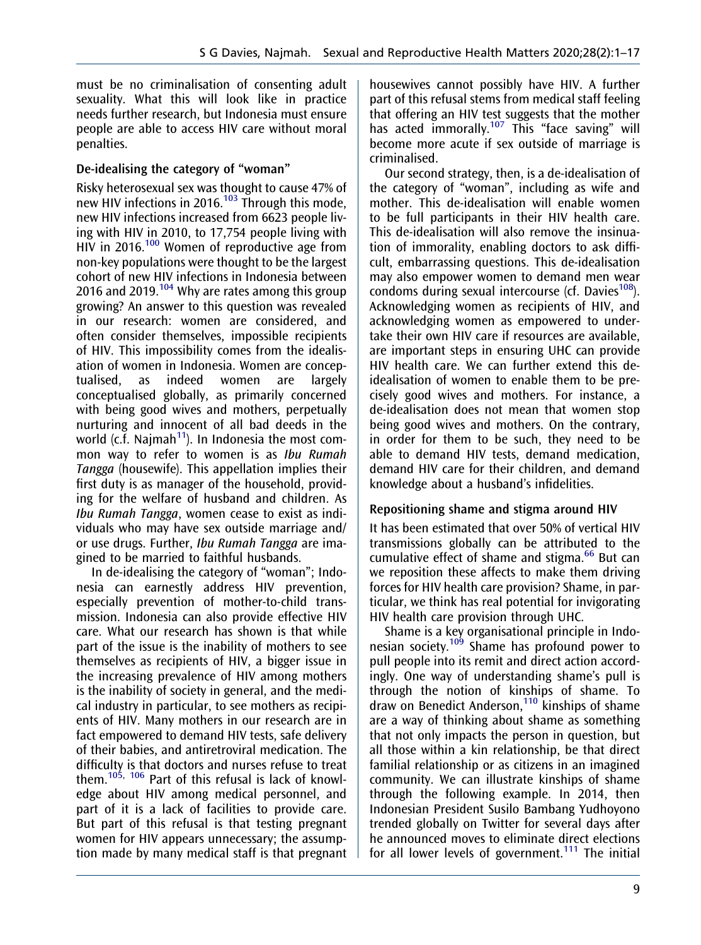must be no criminalisation of consenting adult sexuality. What this will look like in practice needs further research, but Indonesia must ensure people are able to access HIV care without moral penalties.

## De-idealising the category of "woman"

Risky heterosexual sex was thought to cause 47% of new HIV infections in 2016.<sup>103</sup> Through this mode, new HIV infections increased from 6623 people living with HIV in 2010, to 17,754 people living with HIV in 2016.<sup>100</sup> Women of reproductive age from non-key populations were thought to be the largest cohort of new HIV infections in Indonesia between 2016 and 2019.<sup>104</sup> Why are rates among this group growing? An answer to this question was revealed in our research: women are considered, and often consider themselves, impossible recipients of HIV. This impossibility comes from the idealisation of women in Indonesia. Women are conceptualised, as indeed women are largely conceptualised globally, as primarily concerned with being good wives and mothers, perpetually nurturing and innocent of all bad deeds in the world ( $c.f.$  Najmah<sup>11</sup>). In Indonesia the most common way to refer to women is as Ibu Rumah Tangga (housewife). This appellation implies their first duty is as manager of the household, providing for the welfare of husband and children. As Ibu Rumah Tangga, women cease to exist as individuals who may have sex outside marriage and/ or use drugs. Further, Ibu Rumah Tangga are imagined to be married to faithful husbands.

In de-idealising the category of "woman"; Indonesia can earnestly address HIV prevention, especially prevention of mother-to-child transmission. Indonesia can also provide effective HIV care. What our research has shown is that while part of the issue is the inability of mothers to see themselves as recipients of HIV, a bigger issue in the increasing prevalence of HIV among mothers is the inability of society in general, and the medical industry in particular, to see mothers as recipients of HIV. Many mothers in our research are in fact empowered to demand HIV tests, safe delivery of their babies, and antiretroviral medication. The difficulty is that doctors and nurses refuse to treat them.<sup>105, 106</sup> Part of this refusal is lack of knowledge about HIV among medical personnel, and part of it is a lack of facilities to provide care. But part of this refusal is that testing pregnant women for HIV appears unnecessary; the assumption made by many medical staff is that pregnant housewives cannot possibly have HIV. A further part of this refusal stems from medical staff feeling that offering an HIV test suggests that the mother has acted immorally.<sup>107</sup> This "face saving" will become more acute if sex outside of marriage is criminalised.

Our second strategy, then, is a de-idealisation of the category of "woman", including as wife and mother. This de-idealisation will enable women to be full participants in their HIV health care. This de-idealisation will also remove the insinuation of immorality, enabling doctors to ask difficult, embarrassing questions. This de-idealisation may also empower women to demand men wear condoms during sexual intercourse (cf. Davies $108$ ). Acknowledging women as recipients of HIV, and acknowledging women as empowered to undertake their own HIV care if resources are available, are important steps in ensuring UHC can provide HIV health care. We can further extend this deidealisation of women to enable them to be precisely good wives and mothers. For instance, a de-idealisation does not mean that women stop being good wives and mothers. On the contrary, in order for them to be such, they need to be able to demand HIV tests, demand medication, demand HIV care for their children, and demand knowledge about a husband's infidelities.

## Repositioning shame and stigma around HIV

It has been estimated that over 50% of vertical HIV transmissions globally can be attributed to the cumulative effect of shame and stigma.<sup>66</sup> But can we reposition these affects to make them driving forces for HIV health care provision? Shame, in particular, we think has real potential for invigorating HIV health care provision through UHC.

Shame is a key organisational principle in Indonesian society.<sup>109</sup> Shame has profound power to pull people into its remit and direct action accordingly. One way of understanding shame's pull is through the notion of kinships of shame. To draw on Benedict Anderson,<sup>110</sup> kinships of shame are a way of thinking about shame as something that not only impacts the person in question, but all those within a kin relationship, be that direct familial relationship or as citizens in an imagined community. We can illustrate kinships of shame through the following example. In 2014, then Indonesian President Susilo Bambang Yudhoyono trended globally on Twitter for several days after he announced moves to eliminate direct elections for all lower levels of government.<sup>111</sup> The initial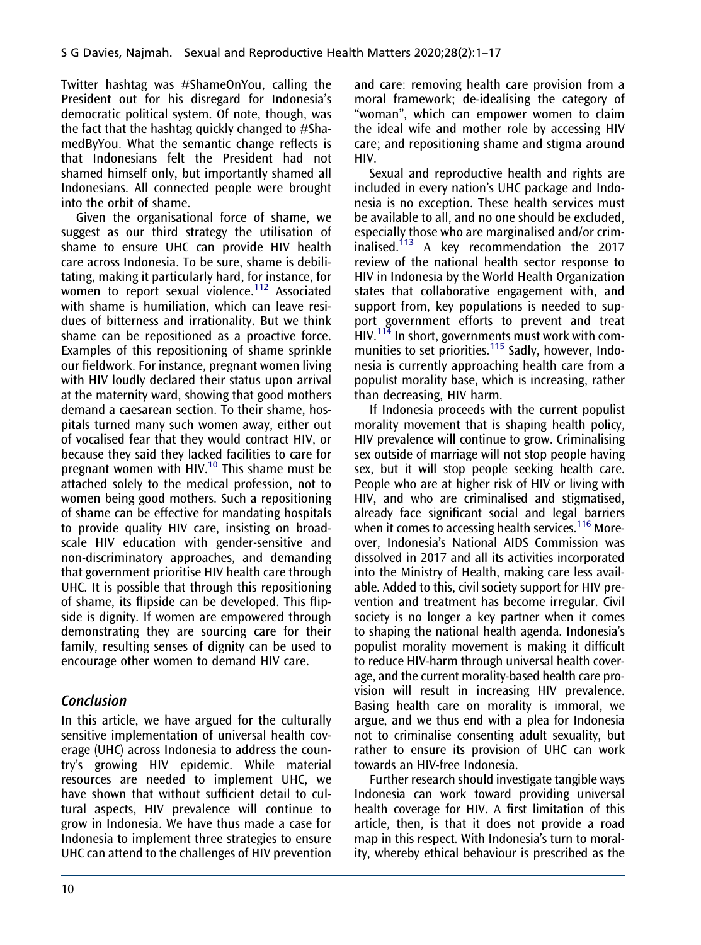Twitter hashtag was #ShameOnYou, calling the President out for his disregard for Indonesia's democratic political system. Of note, though, was the fact that the hashtag quickly changed to #ShamedByYou. What the semantic change reflects is that Indonesians felt the President had not shamed himself only, but importantly shamed all Indonesians. All connected people were brought into the orbit of shame.

Given the organisational force of shame, we suggest as our third strategy the utilisation of shame to ensure UHC can provide HIV health care across Indonesia. To be sure, shame is debilitating, making it particularly hard, for instance, for women to report sexual violence.<sup>112</sup> Associated with shame is humiliation, which can leave residues of bitterness and irrationality. But we think shame can be repositioned as a proactive force. Examples of this repositioning of shame sprinkle our fieldwork. For instance, pregnant women living with HIV loudly declared their status upon arrival at the maternity ward, showing that good mothers demand a caesarean section. To their shame, hospitals turned many such women away, either out of vocalised fear that they would contract HIV, or because they said they lacked facilities to care for pregnant women with HIV.<sup>10</sup> This shame must be attached solely to the medical profession, not to women being good mothers. Such a repositioning of shame can be effective for mandating hospitals to provide quality HIV care, insisting on broadscale HIV education with gender-sensitive and non-discriminatory approaches, and demanding that government prioritise HIV health care through UHC. It is possible that through this repositioning of shame, its flipside can be developed. This flipside is dignity. If women are empowered through demonstrating they are sourcing care for their family, resulting senses of dignity can be used to encourage other women to demand HIV care.

# Conclusion

In this article, we have argued for the culturally sensitive implementation of universal health coverage (UHC) across Indonesia to address the country's growing HIV epidemic. While material resources are needed to implement UHC, we have shown that without sufficient detail to cultural aspects, HIV prevalence will continue to grow in Indonesia. We have thus made a case for Indonesia to implement three strategies to ensure UHC can attend to the challenges of HIV prevention

and care: removing health care provision from a moral framework; de-idealising the category of "woman", which can empower women to claim the ideal wife and mother role by accessing HIV care; and repositioning shame and stigma around HIV.

Sexual and reproductive health and rights are included in every nation's UHC package and Indonesia is no exception. These health services must be available to all, and no one should be excluded, especially those who are marginalised and/or criminalised.<sup>113</sup> A key recommendation the 2017 review of the national health sector response to HIV in Indonesia by the World Health Organization states that collaborative engagement with, and support from, key populations is needed to support government efforts to prevent and treat  $HIV.<sup>114</sup>$  In short, governments must work with communities to set priorities.<sup>115</sup> Sadly, however, Indonesia is currently approaching health care from a populist morality base, which is increasing, rather than decreasing, HIV harm.

If Indonesia proceeds with the current populist morality movement that is shaping health policy, HIV prevalence will continue to grow. Criminalising sex outside of marriage will not stop people having sex, but it will stop people seeking health care. People who are at higher risk of HIV or living with HIV, and who are criminalised and stigmatised, already face significant social and legal barriers when it comes to accessing health services.<sup>116</sup> Moreover, Indonesia's National AIDS Commission was dissolved in 2017 and all its activities incorporated into the Ministry of Health, making care less available. Added to this, civil society support for HIV prevention and treatment has become irregular. Civil society is no longer a key partner when it comes to shaping the national health agenda. Indonesia's populist morality movement is making it difficult to reduce HIV-harm through universal health coverage, and the current morality-based health care provision will result in increasing HIV prevalence. Basing health care on morality is immoral, we argue, and we thus end with a plea for Indonesia not to criminalise consenting adult sexuality, but rather to ensure its provision of UHC can work towards an HIV-free Indonesia.

Further research should investigate tangible ways Indonesia can work toward providing universal health coverage for HIV. A first limitation of this article, then, is that it does not provide a road map in this respect. With Indonesia's turn to morality, whereby ethical behaviour is prescribed as the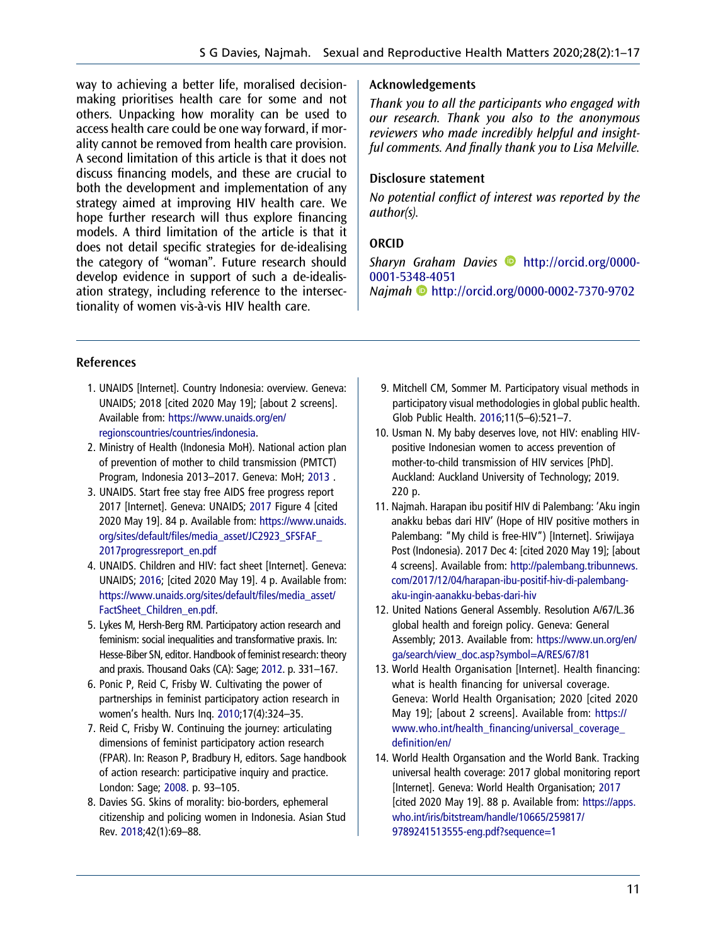way to achieving a better life, moralised decisionmaking prioritises health care for some and not others. Unpacking how morality can be used to access health care could be one way forward, if morality cannot be removed from health care provision. A second limitation of this article is that it does not discuss financing models, and these are crucial to both the development and implementation of any strategy aimed at improving HIV health care. We hope further research will thus explore financing models. A third limitation of the article is that it does not detail specific strategies for de-idealising the category of "woman". Future research should develop evidence in support of such a de-idealisation strategy, including reference to the intersectionality of women vis-à-vis HIV health care.

#### Acknowledgements

Thank you to all the participants who engaged with our research. Thank you also to the anonymous reviewers who made incredibly helpful and insightful comments. And finally thank you to Lisa Melville.

#### Disclosure statement

No potential conflict of interest was reported by the author(s).

## ORCID

Sharyn Graham Davies http://orcid.org/0000-0001-5348-4051 Najmah http://orcid.org/0000-0002-7370-9702

#### References

- 1. UNAIDS [Internet]. Country Indonesia: overview. Geneva: UNAIDS; 2018 [cited 2020 May 19]; [about 2 screens]. Available from: https://www.unaids.org/en/ regionscountries/countries/indonesia.
- 2. Ministry of Health (Indonesia MoH). National action plan of prevention of mother to child transmission (PMTCT) Program, Indonesia 2013–2017. Geneva: MoH; 2013 .
- 3. UNAIDS. Start free stay free AIDS free progress report 2017 [Internet]. Geneva: UNAIDS; 2017 Figure 4 [cited 2020 May 19]. 84 p. Available from: https://www.unaids. org/sites/default/files/media\_asset/JC2923\_SFSFAF\_ 2017progressreport\_en.pdf
- 4. UNAIDS. Children and HIV: fact sheet [Internet]. Geneva: UNAIDS; 2016; [cited 2020 May 19]. 4 p. Available from: https://www.unaids.org/sites/default/files/media\_asset/ FactSheet\_Children\_en.pdf.
- 5. Lykes M, Hersh-Berg RM. Participatory action research and feminism: social inequalities and transformative praxis. In: Hesse-Biber SN, editor. Handbook of feminist research: theory and praxis. Thousand Oaks (CA): Sage; 2012. p. 331–167.
- 6. Ponic P, Reid C, Frisby W. Cultivating the power of partnerships in feminist participatory action research in women's health. Nurs Inq. 2010;17(4):324–35.
- 7. Reid C, Frisby W. Continuing the journey: articulating dimensions of feminist participatory action research (FPAR). In: Reason P, Bradbury H, editors. Sage handbook of action research: participative inquiry and practice. London: Sage; 2008. p. 93–105.
- 8. Davies SG. Skins of morality: bio-borders, ephemeral citizenship and policing women in Indonesia. Asian Stud Rev. 2018;42(1):69–88.
- 9. Mitchell CM, Sommer M. Participatory visual methods in participatory visual methodologies in global public health. Glob Public Health. 2016;11(5–6):521–7.
- 10. Usman N. My baby deserves love, not HIV: enabling HIVpositive Indonesian women to access prevention of mother-to-child transmission of HIV services [PhD]. Auckland: Auckland University of Technology; 2019. 220 p.
- 11. Najmah. Harapan ibu positif HIV di Palembang: 'Aku ingin anakku bebas dari HIV' (Hope of HIV positive mothers in Palembang: "My child is free-HIV") [Internet]. Sriwijaya Post (Indonesia). 2017 Dec 4: [cited 2020 May 19]; [about 4 screens]. Available from: http://palembang.tribunnews. com/2017/12/04/harapan-ibu-positif-hiv-di-palembangaku-ingin-aanakku-bebas-dari-hiv
- 12. United Nations General Assembly. Resolution A/67/L.36 global health and foreign policy. Geneva: General Assembly; 2013. Available from: https://www.un.org/en/ ga/search/view\_doc.asp?symbol=A/RES/67/81
- 13. World Health Organisation [Internet]. Health financing: what is health financing for universal coverage. Geneva: World Health Organisation; 2020 [cited 2020 May 19]; [about 2 screens]. Available from: https:// www.who.int/health\_financing/universal\_coverage\_ definition/en/
- 14. World Health Organsation and the World Bank. Tracking universal health coverage: 2017 global monitoring report [Internet]. Geneva: World Health Organisation; 2017 [cited 2020 May 19]. 88 p. Available from: https://apps. who.int/iris/bitstream/handle/10665/259817/ 9789241513555-eng.pdf?sequence=1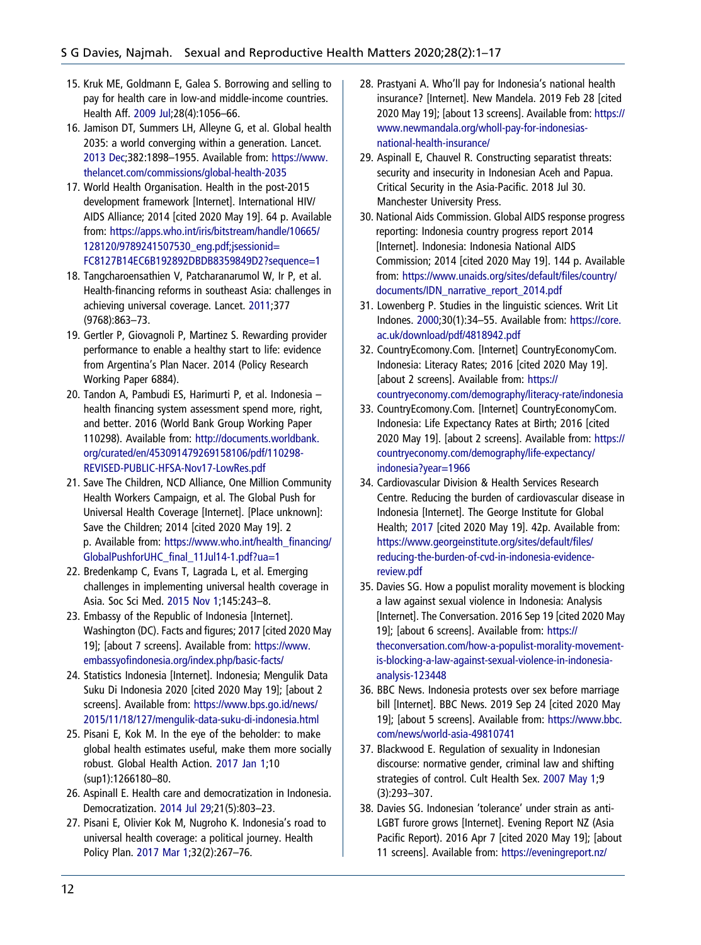- 15. Kruk ME, Goldmann E, Galea S. Borrowing and selling to pay for health care in low-and middle-income countries. Health Aff. 2009 Jul;28(4):1056–66.
- 16. Jamison DT, Summers LH, Alleyne G, et al. Global health 2035: a world converging within a generation. Lancet. 2013 Dec;382:1898–1955. Available from: https://www. thelancet.com/commissions/global-health-2035
- 17. World Health Organisation. Health in the post-2015 development framework [Internet]. International HIV/ AIDS Alliance; 2014 [cited 2020 May 19]. 64 p. Available from: https://apps.who.int/iris/bitstream/handle/10665/ 128120/9789241507530\_eng.pdf;jsessionid= FC8127B14EC6B192892DBDB8359849D2?sequence=1
- 18. Tangcharoensathien V, Patcharanarumol W, Ir P, et al. Health-financing reforms in southeast Asia: challenges in achieving universal coverage. Lancet. 2011;377 (9768):863–73.
- 19. Gertler P, Giovagnoli P, Martinez S. Rewarding provider performance to enable a healthy start to life: evidence from Argentina's Plan Nacer. 2014 (Policy Research Working Paper 6884).
- 20. Tandon A, Pambudi ES, Harimurti P, et al. Indonesia health financing system assessment spend more, right, and better. 2016 (World Bank Group Working Paper 110298). Available from: http://documents.worldbank. org/curated/en/453091479269158106/pdf/110298- REVISED-PUBLIC-HFSA-Nov17-LowRes.pdf
- 21. Save The Children, NCD Alliance, One Million Community Health Workers Campaign, et al. The Global Push for Universal Health Coverage [Internet]. [Place unknown]: Save the Children; 2014 [cited 2020 May 19]. 2 p. Available from: https://www.who.int/health\_financing/ GlobalPushforUHC\_final\_11Jul14-1.pdf?ua=1
- 22. Bredenkamp C, Evans T, Lagrada L, et al. Emerging challenges in implementing universal health coverage in Asia. Soc Sci Med. 2015 Nov 1;145:243–8.
- 23. Embassy of the Republic of Indonesia [Internet]. Washington (DC). Facts and figures; 2017 [cited 2020 May 19]; [about 7 screens]. Available from: https://www. embassyofindonesia.org/index.php/basic-facts/
- 24. Statistics Indonesia [Internet]. Indonesia; Mengulik Data Suku Di Indonesia 2020 [cited 2020 May 19]; [about 2 screens]. Available from: https://www.bps.go.id/news/ 2015/11/18/127/mengulik-data-suku-di-indonesia.html
- 25. Pisani E, Kok M. In the eye of the beholder: to make global health estimates useful, make them more socially robust. Global Health Action. 2017 Jan 1;10 (sup1):1266180–80.
- 26. Aspinall E. Health care and democratization in Indonesia. Democratization. 2014 Jul 29;21(5):803–23.
- 27. Pisani E, Olivier Kok M, Nugroho K. Indonesia's road to universal health coverage: a political journey. Health Policy Plan. 2017 Mar 1;32(2):267–76.
- 28. Prastyani A. Who'll pay for Indonesia's national health insurance? [Internet]. New Mandela. 2019 Feb 28 [cited 2020 May 19]; [about 13 screens]. Available from: https:// www.newmandala.org/wholl-pay-for-indonesiasnational-health-insurance/
- 29. Aspinall E, Chauvel R. Constructing separatist threats: security and insecurity in Indonesian Aceh and Papua. Critical Security in the Asia-Pacific. 2018 Jul 30. Manchester University Press.
- 30. National Aids Commission. Global AIDS response progress reporting: Indonesia country progress report 2014 [Internet]. Indonesia: Indonesia National AIDS Commission; 2014 [cited 2020 May 19]. 144 p. Available from: https://www.unaids.org/sites/default/files/country/ documents/IDN\_narrative\_report\_2014.pdf
- 31. Lowenberg P. Studies in the linguistic sciences. Writ Lit Indones. 2000;30(1):34–55. Available from: https://core. ac.uk/download/pdf/4818942.pdf
- 32. CountryEcomony.Com. [Internet] CountryEconomyCom. Indonesia: Literacy Rates; 2016 [cited 2020 May 19]. [about 2 screens]. Available from: https:// countryeconomy.com/demography/literacy-rate/indonesia
- 33. CountryEcomony.Com. [Internet] CountryEconomyCom. Indonesia: Life Expectancy Rates at Birth; 2016 [cited 2020 May 19]. [about 2 screens]. Available from: https:// countryeconomy.com/demography/life-expectancy/ indonesia?year=1966
- 34. Cardiovascular Division & Health Services Research Centre. Reducing the burden of cardiovascular disease in Indonesia [Internet]. The George Institute for Global Health; 2017 [cited 2020 May 19]. 42p. Available from: https://www.georgeinstitute.org/sites/default/files/ reducing-the-burden-of-cvd-in-indonesia-evidencereview.pdf
- 35. Davies SG. How a populist morality movement is blocking a law against sexual violence in Indonesia: Analysis [Internet]. The Conversation. 2016 Sep 19 [cited 2020 May 19]; [about 6 screens]. Available from: https:// theconversation.com/how-a-populist-morality-movementis-blocking-a-law-against-sexual-violence-in-indonesiaanalysis-123448
- 36. BBC News. Indonesia protests over sex before marriage bill [Internet]. BBC News. 2019 Sep 24 [cited 2020 May 19]; [about 5 screens]. Available from: https://www.bbc. com/news/world-asia-49810741
- 37. Blackwood E. Regulation of sexuality in Indonesian discourse: normative gender, criminal law and shifting strategies of control. Cult Health Sex. 2007 May 1;9 (3):293–307.
- 38. Davies SG. Indonesian 'tolerance' under strain as anti-LGBT furore grows [Internet]. Evening Report NZ (Asia Pacific Report). 2016 Apr 7 [cited 2020 May 19]; [about 11 screens]. Available from: https://eveningreport.nz/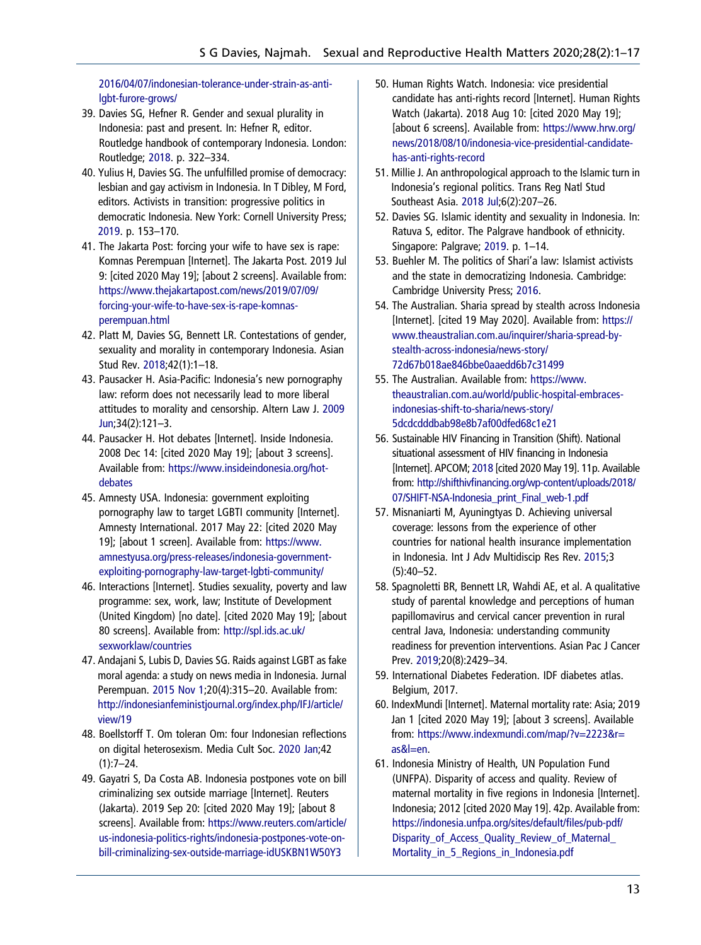2016/04/07/indonesian-tolerance-under-strain-as-antilgbt-furore-grows/

- 39. Davies SG, Hefner R. Gender and sexual plurality in Indonesia: past and present. In: Hefner R, editor. Routledge handbook of contemporary Indonesia. London: Routledge; 2018. p. 322–334.
- 40. Yulius H, Davies SG. The unfulfilled promise of democracy: lesbian and gay activism in Indonesia. In T Dibley, M Ford, editors. Activists in transition: progressive politics in democratic Indonesia. New York: Cornell University Press; 2019. p. 153–170.
- 41. The Jakarta Post: forcing your wife to have sex is rape: Komnas Perempuan [Internet]. The Jakarta Post. 2019 Jul 9: [cited 2020 May 19]; [about 2 screens]. Available from: https://www.thejakartapost.com/news/2019/07/09/ forcing-your-wife-to-have-sex-is-rape-komnasperempuan.html
- 42. Platt M, Davies SG, Bennett LR. Contestations of gender, sexuality and morality in contemporary Indonesia. Asian Stud Rev. 2018;42(1):1–18.
- 43. Pausacker H. Asia-Pacific: Indonesia's new pornography law: reform does not necessarily lead to more liberal attitudes to morality and censorship. Altern Law J. 2009 Jun;34(2):121–3.
- 44. Pausacker H. Hot debates [Internet]. Inside Indonesia. 2008 Dec 14: [cited 2020 May 19]; [about 3 screens]. Available from: https://www.insideindonesia.org/hotdebates
- 45. Amnesty USA. Indonesia: government exploiting pornography law to target LGBTI community [Internet]. Amnesty International. 2017 May 22: [cited 2020 May 19]; [about 1 screen]. Available from: https://www. amnestyusa.org/press-releases/indonesia-governmentexploiting-pornography-law-target-lgbti-community/
- 46. Interactions [Internet]. Studies sexuality, poverty and law programme: sex, work, law; Institute of Development (United Kingdom) [no date]. [cited 2020 May 19]; [about 80 screens]. Available from: http://spl.ids.ac.uk/ sexworklaw/countries
- 47. Andajani S, Lubis D, Davies SG. Raids against LGBT as fake moral agenda: a study on news media in Indonesia. Jurnal Perempuan. 2015 Nov 1;20(4):315–20. Available from: http://indonesianfeministjournal.org/index.php/IFJ/article/ view/19
- 48. Boellstorff T. Om toleran Om: four Indonesian reflections on digital heterosexism. Media Cult Soc. 2020 Jan;42  $(1):7-24.$
- 49. Gayatri S, Da Costa AB. Indonesia postpones vote on bill criminalizing sex outside marriage [Internet]. Reuters (Jakarta). 2019 Sep 20: [cited 2020 May 19]; [about 8 screens]. Available from: https://www.reuters.com/article/ us-indonesia-politics-rights/indonesia-postpones-vote-onbill-criminalizing-sex-outside-marriage-idUSKBN1W50Y3
- 50. Human Rights Watch. Indonesia: vice presidential candidate has anti-rights record [Internet]. Human Rights Watch (Jakarta). 2018 Aug 10: [cited 2020 May 19]; [about 6 screens]. Available from: https://www.hrw.org/ news/2018/08/10/indonesia-vice-presidential-candidatehas-anti-rights-record
- 51. Millie J. An anthropological approach to the Islamic turn in Indonesia's regional politics. Trans Reg Natl Stud Southeast Asia. 2018 Jul;6(2):207–26.
- 52. Davies SG. Islamic identity and sexuality in Indonesia. In: Ratuva S, editor. The Palgrave handbook of ethnicity. Singapore: Palgrave: 2019. p. 1-14.
- 53. Buehler M. The politics of Shari'a law: Islamist activists and the state in democratizing Indonesia. Cambridge: Cambridge University Press; 2016.
- 54. The Australian. Sharia spread by stealth across Indonesia [Internet]. [cited 19 May 2020]. Available from: https:// www.theaustralian.com.au/inquirer/sharia-spread-bystealth-across-indonesia/news-story/ 72d67b018ae846bbe0aaedd6b7c31499
- 55. The Australian. Available from: https://www. theaustralian.com.au/world/public-hospital-embracesindonesias-shift-to-sharia/news-story/ 5dcdcdddbab98e8b7af00dfed68c1e21
- 56. Sustainable HIV Financing in Transition (Shift). National situational assessment of HIV financing in Indonesia [Internet]. APCOM; 2018 [cited 2020 May 19]. 11p. Available from: http://shifthivfinancing.org/wp-content/uploads/2018/ 07/SHIFT-NSA-Indonesia\_print\_Final\_web-1.pdf
- 57. Misnaniarti M, Ayuningtyas D. Achieving universal coverage: lessons from the experience of other countries for national health insurance implementation in Indonesia. Int J Adv Multidiscip Res Rev. 2015;3 (5):40–52.
- 58. Spagnoletti BR, Bennett LR, Wahdi AE, et al. A qualitative study of parental knowledge and perceptions of human papillomavirus and cervical cancer prevention in rural central Java, Indonesia: understanding community readiness for prevention interventions. Asian Pac J Cancer Prev. 2019;20(8):2429–34.
- 59. International Diabetes Federation. IDF diabetes atlas. Belgium, 2017.
- 60. IndexMundi [Internet]. Maternal mortality rate: Asia; 2019 Jan 1 [cited 2020 May 19]; [about 3 screens]. Available from: https://www.indexmundi.com/map/?v=2223&r= as&l=en.
- 61. Indonesia Ministry of Health, UN Population Fund (UNFPA). Disparity of access and quality. Review of maternal mortality in five regions in Indonesia [Internet]. Indonesia; 2012 [cited 2020 May 19]. 42p. Available from: https://indonesia.unfpa.org/sites/default/files/pub-pdf/ Disparity\_of\_Access\_Quality\_Review\_of\_Maternal\_ Mortality\_in\_5\_Regions\_in\_Indonesia.pdf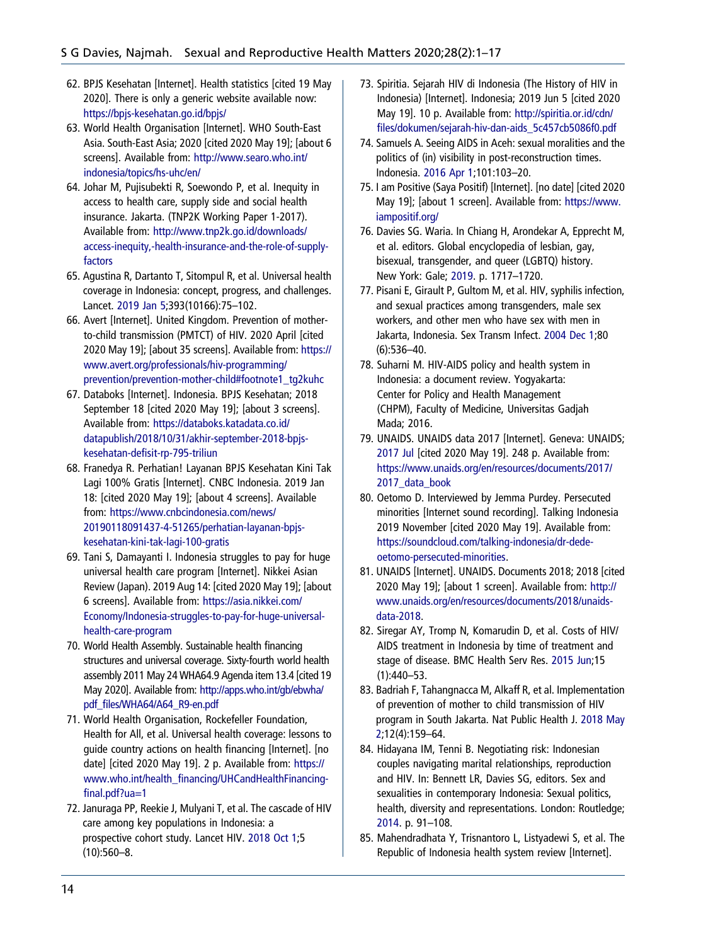- 62. BPJS Kesehatan [Internet]. Health statistics [cited 19 May 2020]. There is only a generic website available now: https://bpjs-kesehatan.go.id/bpjs/
- 63. World Health Organisation [Internet]. WHO South-East Asia. South-East Asia; 2020 [cited 2020 May 19]; [about 6 screens]. Available from: http://www.searo.who.int/ indonesia/topics/hs-uhc/en/
- 64. Johar M, Pujisubekti R, Soewondo P, et al. Inequity in access to health care, supply side and social health insurance. Jakarta. (TNP2K Working Paper 1-2017). Available from: http://www.tnp2k.go.id/downloads/ access-inequity,-health-insurance-and-the-role-of-supplyfactors
- 65. Agustina R, Dartanto T, Sitompul R, et al. Universal health coverage in Indonesia: concept, progress, and challenges. Lancet. 2019 Jan 5;393(10166):75–102.
- 66. Avert [Internet]. United Kingdom. Prevention of motherto-child transmission (PMTCT) of HIV. 2020 April [cited 2020 May 19]; [about 35 screens]. Available from: https:// www.avert.org/professionals/hiv-programming/ prevention/prevention-mother-child#footnote1\_tg2kuhc
- 67. Databoks [Internet]. Indonesia. BPJS Kesehatan; 2018 September 18 [cited 2020 May 19]; [about 3 screens]. Available from: https://databoks.katadata.co.id/ datapublish/2018/10/31/akhir-september-2018-bpjskesehatan-defisit-rp-795-triliun
- 68. Franedya R. Perhatian! Layanan BPJS Kesehatan Kini Tak Lagi 100% Gratis [Internet]. CNBC Indonesia. 2019 Jan 18: [cited 2020 May 19]; [about 4 screens]. Available from: https://www.cnbcindonesia.com/news/ 20190118091437-4-51265/perhatian-layanan-bpjskesehatan-kini-tak-lagi-100-gratis
- 69. Tani S, Damayanti I. Indonesia struggles to pay for huge universal health care program [Internet]. Nikkei Asian Review (Japan). 2019 Aug 14: [cited 2020 May 19]; [about 6 screens]. Available from: https://asia.nikkei.com/ Economy/Indonesia-struggles-to-pay-for-huge-universalhealth-care-program
- 70. World Health Assembly. Sustainable health financing structures and universal coverage. Sixty-fourth world health assembly 2011 May 24 WHA64.9 Agenda item 13.4 [cited 19 May 2020]. Available from: http://apps.who.int/gb/ebwha/ pdf\_files/WHA64/A64\_R9-en.pdf
- 71. World Health Organisation, Rockefeller Foundation, Health for All, et al. Universal health coverage: lessons to guide country actions on health financing [Internet]. [no date] [cited 2020 May 19]. 2 p. Available from: https:// www.who.int/health\_financing/UHCandHealthFinancingfinal.pdf?ua=1
- 72. Januraga PP, Reekie J, Mulyani T, et al. The cascade of HIV care among key populations in Indonesia: a prospective cohort study. Lancet HIV. 2018 Oct 1;5 (10):560–8.
- 73. Spiritia. Sejarah HIV di Indonesia (The History of HIV in Indonesia) [Internet]. Indonesia; 2019 Jun 5 [cited 2020 May 19]. 10 p. Available from: http://spiritia.or.id/cdn/ files/dokumen/sejarah-hiv-dan-aids\_5c457cb5086f0.pdf
- 74. Samuels A. Seeing AIDS in Aceh: sexual moralities and the politics of (in) visibility in post-reconstruction times. Indonesia. 2016 Apr 1;101:103–20.
- 75. I am Positive (Saya Positif) [Internet]. [no date] [cited 2020 May 19]; [about 1 screen]. Available from: https://www. iampositif.org/
- 76. Davies SG. Waria. In Chiang H, Arondekar A, Epprecht M, et al. editors. Global encyclopedia of lesbian, gay, bisexual, transgender, and queer (LGBTQ) history. New York: Gale; 2019. p. 1717–1720.
- 77. Pisani E, Girault P, Gultom M, et al. HIV, syphilis infection, and sexual practices among transgenders, male sex workers, and other men who have sex with men in Jakarta, Indonesia. Sex Transm Infect. 2004 Dec 1;80 (6):536–40.
- 78. Suharni M. HIV-AIDS policy and health system in Indonesia: a document review. Yogyakarta: Center for Policy and Health Management (CHPM), Faculty of Medicine, Universitas Gadjah Mada; 2016.
- 79. UNAIDS. UNAIDS data 2017 [Internet]. Geneva: UNAIDS; 2017 Jul [cited 2020 May 19]. 248 p. Available from: https://www.unaids.org/en/resources/documents/2017/ 2017 data book
- 80. Oetomo D. Interviewed by Jemma Purdey. Persecuted minorities [Internet sound recording]. Talking Indonesia 2019 November [cited 2020 May 19]. Available from: https://soundcloud.com/talking-indonesia/dr-dedeoetomo-persecuted-minorities.
- 81. UNAIDS [Internet]. UNAIDS. Documents 2018; 2018 [cited 2020 May 19]; [about 1 screen]. Available from: http:// www.unaids.org/en/resources/documents/2018/unaidsdata-2018.
- 82. Siregar AY, Tromp N, Komarudin D, et al. Costs of HIV/ AIDS treatment in Indonesia by time of treatment and stage of disease. BMC Health Serv Res. 2015 Jun;15 (1):440–53.
- 83. Badriah F, Tahangnacca M, Alkaff R, et al. Implementation of prevention of mother to child transmission of HIV program in South Jakarta. Nat Public Health J. 2018 May 2;12(4):159–64.
- 84. Hidayana IM, Tenni B. Negotiating risk: Indonesian couples navigating marital relationships, reproduction and HIV. In: Bennett LR, Davies SG, editors. Sex and sexualities in contemporary Indonesia: Sexual politics, health, diversity and representations. London: Routledge; 2014. p. 91–108.
- 85. Mahendradhata Y, Trisnantoro L, Listyadewi S, et al. The Republic of Indonesia health system review [Internet].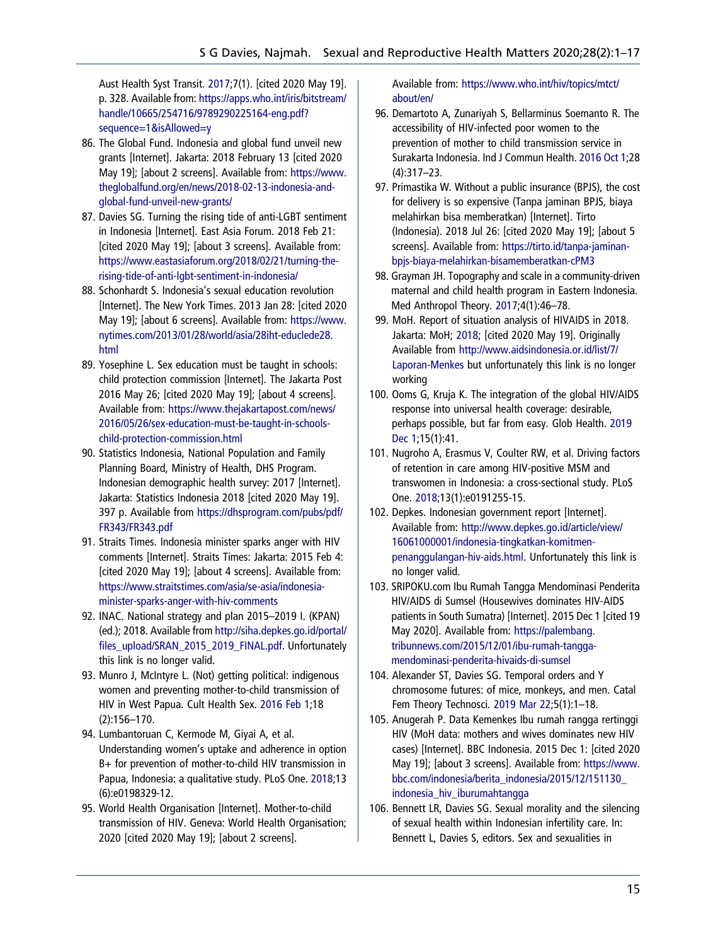Aust Health Syst Transit. 2017;7(1). [cited 2020 May 19]. p. 328. Available from: https://apps.who.int/iris/bitstream/ handle/10665/254716/9789290225164-eng.pdf? sequence=1&isAllowed=y

- 86. The Global Fund. Indonesia and global fund unveil new grants [Internet]. Jakarta: 2018 February 13 [cited 2020 May 19]; [about 2 screens]. Available from: https://www. theglobalfund.org/en/news/2018-02-13-indonesia-andglobal-fund-unveil-new-grants/
- 87. Davies SG. Turning the rising tide of anti-LGBT sentiment in Indonesia [Internet]. East Asia Forum. 2018 Feb 21: [cited 2020 May 19]; [about 3 screens]. Available from: https://www.eastasiaforum.org/2018/02/21/turning-therising-tide-of-anti-lgbt-sentiment-in-indonesia/
- 88. Schonhardt S. Indonesia's sexual education revolution [Internet]. The New York Times. 2013 Jan 28: [cited 2020 May 19]; [about 6 screens]. Available from: https://www. nytimes.com/2013/01/28/world/asia/28iht-educlede28. html
- 89. Yosephine L. Sex education must be taught in schools: child protection commission [Internet]. The Jakarta Post 2016 May 26; [cited 2020 May 19]; [about 4 screens]. Available from: https://www.thejakartapost.com/news/ 2016/05/26/sex-education-must-be-taught-in-schoolschild-protection-commission.html
- 90. Statistics Indonesia, National Population and Family Planning Board, Ministry of Health, DHS Program. Indonesian demographic health survey: 2017 [Internet]. Jakarta: Statistics Indonesia 2018 [cited 2020 May 19]. 397 p. Available from https://dhsprogram.com/pubs/pdf/ FR343/FR343.pdf
- 91. Straits Times. Indonesia minister sparks anger with HIV comments [Internet]. Straits Times: Jakarta: 2015 Feb 4: [cited 2020 May 19]; [about 4 screens]. Available from: https://www.straitstimes.com/asia/se-asia/indonesiaminister-sparks-anger-with-hiv-comments
- 92. INAC. National strategy and plan 2015–2019 I. (KPAN) (ed.); 2018. Available from http://siha.depkes.go.id/portal/ files\_upload/SRAN\_2015\_2019\_FINAL.pdf. Unfortunately this link is no longer valid.
- 93. Munro J, McIntyre L. (Not) getting political: indigenous women and preventing mother-to-child transmission of HIV in West Papua. Cult Health Sex. 2016 Feb 1;18 (2):156–170.
- 94. Lumbantoruan C, Kermode M, Giyai A, et al. Understanding women's uptake and adherence in option B+ for prevention of mother-to-child HIV transmission in Papua, Indonesia: a qualitative study. PLoS One. 2018;13 (6):e0198329-12.
- 95. World Health Organisation [Internet]. Mother-to-child transmission of HIV. Geneva: World Health Organisation; 2020 [cited 2020 May 19]; [about 2 screens].

Available from: https://www.who.int/hiv/topics/mtct/ about/en/

- 96. Demartoto A, Zunariyah S, Bellarminus Soemanto R. The accessibility of HIV-infected poor women to the prevention of mother to child transmission service in Surakarta Indonesia. Ind J Commun Health. 2016 Oct 1;28 (4):317–23.
- 97. Primastika W. Without a public insurance (BPJS), the cost for delivery is so expensive (Tanpa jaminan BPJS, biaya melahirkan bisa memberatkan) [Internet]. Tirto (Indonesia). 2018 Jul 26: [cited 2020 May 19]; [about 5 screens]. Available from: https://tirto.id/tanpa-jaminanbpjs-biaya-melahirkan-bisamemberatkan-cPM3
- 98. Grayman JH. Topography and scale in a community-driven maternal and child health program in Eastern Indonesia. Med Anthropol Theory. 2017;4(1):46–78.
- 99. MoH. Report of situation analysis of HIVAIDS in 2018. Jakarta: MoH; 2018; [cited 2020 May 19]. Originally Available from http://www.aidsindonesia.or.id/list/7/ Laporan-Menkes but unfortunately this link is no longer working
- 100. Ooms G, Kruja K. The integration of the global HIV/AIDS response into universal health coverage: desirable, perhaps possible, but far from easy. Glob Health. 2019 Dec 1;15(1):41.
- 101. Nugroho A, Erasmus V, Coulter RW, et al. Driving factors of retention in care among HIV-positive MSM and transwomen in Indonesia: a cross-sectional study. PLoS One. 2018;13(1):e0191255-15.
- 102. Depkes. Indonesian government report [Internet]. Available from: http://www.depkes.go.id/article/view/ 16061000001/indonesia-tingkatkan-komitmenpenanggulangan-hiv-aids.html. Unfortunately this link is no longer valid.
- 103. SRIPOKU.com Ibu Rumah Tangga Mendominasi Penderita HIV/AIDS di Sumsel (Housewives dominates HIV-AIDS patients in South Sumatra) [Internet]. 2015 Dec 1 [cited 19 May 2020]. Available from: https://palembang. tribunnews.com/2015/12/01/ibu-rumah-tanggamendominasi-penderita-hivaids-di-sumsel
- 104. Alexander ST, Davies SG. Temporal orders and Y chromosome futures: of mice, monkeys, and men. Catal Fem Theory Technosci. 2019 Mar 22;5(1):1–18.
- 105. Anugerah P. Data Kemenkes Ibu rumah rangga rertinggi HIV (MoH data: mothers and wives dominates new HIV cases) [Internet]. BBC Indonesia. 2015 Dec 1: [cited 2020 May 19]; [about 3 screens]. Available from: https://www. bbc.com/indonesia/berita\_indonesia/2015/12/151130\_ indonesia\_hiv\_iburumahtangga
- 106. Bennett LR, Davies SG. Sexual morality and the silencing of sexual health within Indonesian infertility care. In: Bennett L, Davies S, editors. Sex and sexualities in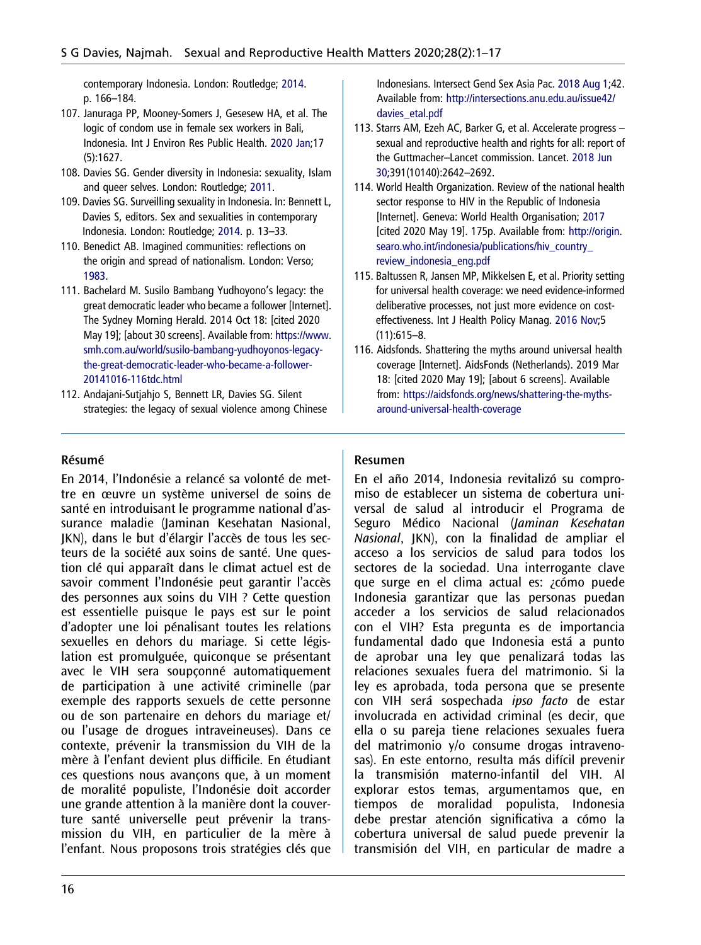contemporary Indonesia. London: Routledge; 2014. p. 166–184.

- 107. Januraga PP, Mooney-Somers J, Gesesew HA, et al. The logic of condom use in female sex workers in Bali, Indonesia. Int J Environ Res Public Health. 2020 Jan;17 (5):1627.
- 108. Davies SG. Gender diversity in Indonesia: sexuality, Islam and queer selves. London: Routledge; 2011.
- 109. Davies SG. Surveilling sexuality in Indonesia. In: Bennett L, Davies S, editors. Sex and sexualities in contemporary Indonesia. London: Routledge; 2014. p. 13–33.
- 110. Benedict AB. Imagined communities: reflections on the origin and spread of nationalism. London: Verso; 1983.
- 111. Bachelard M. Susilo Bambang Yudhoyono's legacy: the great democratic leader who became a follower [Internet]. The Sydney Morning Herald. 2014 Oct 18: [cited 2020 May 19]; [about 30 screens]. Available from: https://www. smh.com.au/world/susilo-bambang-yudhoyonos-legacythe-great-democratic-leader-who-became-a-follower-20141016-116tdc.html
- 112. Andajani-Sutjahjo S, Bennett LR, Davies SG. Silent strategies: the legacy of sexual violence among Chinese

Indonesians. Intersect Gend Sex Asia Pac. 2018 Aug 1;42. Available from: http://intersections.anu.edu.au/issue42/ davies\_etal.pdf

- 113. Starrs AM, Ezeh AC, Barker G, et al. Accelerate progress sexual and reproductive health and rights for all: report of the Guttmacher–Lancet commission. Lancet. 2018 Jun 30;391(10140):2642–2692.
- 114. World Health Organization. Review of the national health sector response to HIV in the Republic of Indonesia [Internet]. Geneva: World Health Organisation; 2017 [cited 2020 May 19]. 175p. Available from: http://origin. searo.who.int/indonesia/publications/hiv\_country review\_indonesia\_eng.pdf
- 115. Baltussen R, Jansen MP, Mikkelsen E, et al. Priority setting for universal health coverage: we need evidence-informed deliberative processes, not just more evidence on costeffectiveness. Int J Health Policy Manag. 2016 Nov;5  $(11):615-8.$
- 116. Aidsfonds. Shattering the myths around universal health coverage [Internet]. AidsFonds (Netherlands). 2019 Mar 18: [cited 2020 May 19]; [about 6 screens]. Available from: https://aidsfonds.org/news/shattering-the-mythsaround-universal-health-coverage

## Résumé

En 2014, l'Indonésie a relancé sa volonté de mettre en œuvre un système universel de soins de santé en introduisant le programme national d'assurance maladie (Jaminan Kesehatan Nasional, JKN), dans le but d'élargir l'accès de tous les secteurs de la société aux soins de santé. Une question clé qui apparaît dans le climat actuel est de savoir comment l'Indonésie peut garantir l'accès des personnes aux soins du VIH ? Cette question est essentielle puisque le pays est sur le point d'adopter une loi pénalisant toutes les relations sexuelles en dehors du mariage. Si cette législation est promulguée, quiconque se présentant avec le VIH sera soupçonné automatiquement de participation à une activité criminelle (par exemple des rapports sexuels de cette personne ou de son partenaire en dehors du mariage et/ ou l'usage de drogues intraveineuses). Dans ce contexte, prévenir la transmission du VIH de la mère à l'enfant devient plus difficile. En étudiant ces questions nous avançons que, à un moment de moralité populiste, l'Indonésie doit accorder une grande attention à la manière dont la couverture santé universelle peut prévenir la transmission du VIH, en particulier de la mère à l'enfant. Nous proposons trois stratégies clés que

## Resumen

En el año 2014, Indonesia revitalizó su compromiso de establecer un sistema de cobertura universal de salud al introducir el Programa de Seguro Médico Nacional (Jaminan Kesehatan Nasional, JKN), con la finalidad de ampliar el acceso a los servicios de salud para todos los sectores de la sociedad. Una interrogante clave que surge en el clima actual es: ¿cómo puede Indonesia garantizar que las personas puedan acceder a los servicios de salud relacionados con el VIH? Esta pregunta es de importancia fundamental dado que Indonesia está a punto de aprobar una ley que penalizará todas las relaciones sexuales fuera del matrimonio. Si la ley es aprobada, toda persona que se presente con VIH será sospechada ipso facto de estar involucrada en actividad criminal (es decir, que ella o su pareja tiene relaciones sexuales fuera del matrimonio y/o consume drogas intravenosas). En este entorno, resulta más difícil prevenir la transmisión materno-infantil del VIH. Al explorar estos temas, argumentamos que, en tiempos de moralidad populista, Indonesia debe prestar atención significativa a cómo la cobertura universal de salud puede prevenir la transmisión del VIH, en particular de madre a